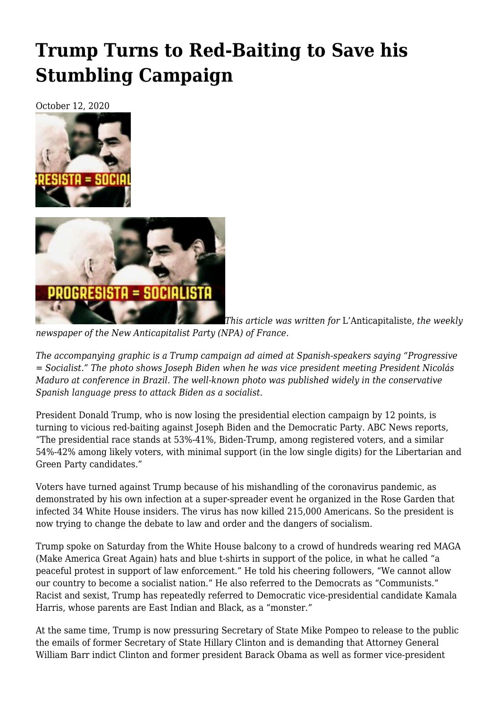## **[Trump Turns to Red-Baiting to Save his](https://newpol.org/trump-turns-to-red-baiting-to-save-his-stumbling-campaign/) [Stumbling Campaign](https://newpol.org/trump-turns-to-red-baiting-to-save-his-stumbling-campaign/)**

October 12, 2020





*This article was written for* L'Anticapitaliste, *the weekly*

*newspaper of the New Anticapitalist Party (NPA) of France.*

*The accompanying graphic is a Trump campaign ad aimed at Spanish-speakers saying "Progressive = Socialist." The photo shows Joseph Biden when he was vice president meeting President Nicolás Maduro at conference in Brazil. The well-known photo was published widely in the conservative Spanish language press to attack Biden as a socialist.*

President Donald Trump, who is now losing the presidential election campaign by 12 points, is turning to vicious red-baiting against Joseph Biden and the Democratic Party. ABC News reports, "The presidential race stands at 53%-41%, Biden-Trump, among registered voters, and a similar 54%-42% among likely voters, with minimal support (in the low single digits) for the Libertarian and Green Party candidates."

Voters have turned against Trump because of his mishandling of the coronavirus pandemic, as demonstrated by his own infection at a super-spreader event he organized in the Rose Garden that infected 34 White House insiders. The virus has now killed 215,000 Americans. So the president is now trying to change the debate to law and order and the dangers of socialism.

Trump spoke on Saturday from the White House balcony to a crowd of hundreds wearing red MAGA (Make America Great Again) hats and blue t-shirts in support of the police, in what he called "a peaceful protest in support of law enforcement." He told his cheering followers, "We cannot allow our country to become a socialist nation." He also referred to the Democrats as "Communists." Racist and sexist, Trump has repeatedly referred to Democratic vice-presidential candidate Kamala Harris, whose parents are East Indian and Black, as a "monster."

At the same time, Trump is now pressuring Secretary of State Mike Pompeo to release to the public the emails of former Secretary of State Hillary Clinton and is demanding that Attorney General William Barr indict Clinton and former president Barack Obama as well as former vice-president